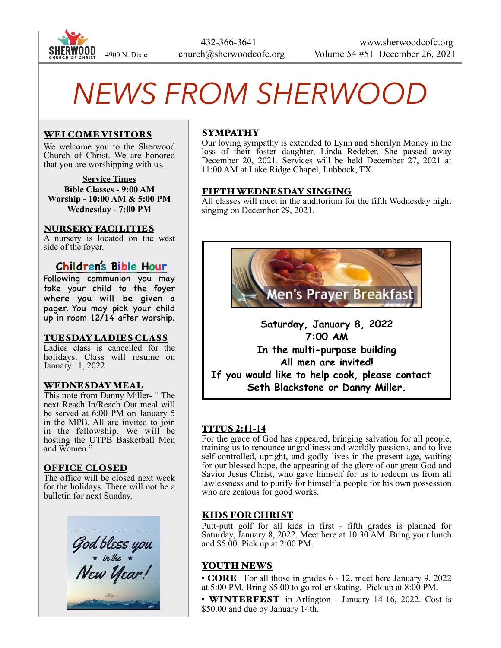

 432-366-3641 www.sherwoodcofc.org 4900 N. Dixie church@sherwoodcofc.org Volume 54 #51 December 26, 2021

# *NEWS FROM SHERWOOD*

# WELCOME VISITORS

We welcome you to the Sherwood Church of Christ. We are honored that you are worshipping with us.

**Service Times Bible Classes - 9:00 AM Worship - 10:00 AM & 5:00 PM Wednesday - 7:00 PM** 

## NURSERY FACILITIES

A nursery is located on the west side of the foyer.

# **Children's Bible Hour**

Following communion you may take your child to the foyer where you will be given a pager. You may pick your child up in room 12/14 after worship.

## TUESDAY LADIES CLASS

Ladies class is cancelled for the holidays. Class will resume on January 11, 2022.

## WEDNESDAY MEAL

This note from Danny Miller- " The next Reach In/Reach Out meal will be served at 6:00 PM on January 5 in the MPB. All are invited to join in the fellowship. We will be hosting the UTPB Basketball Men and Women."

## OFFICE CLOSED

The office will be closed next week for the holidays. There will not be a bulletin for next Sunday.



# SYMPATHY

Our loving sympathy is extended to Lynn and Sherilyn Money in the loss of their foster daughter, Linda Redeker. She passed away December 20, 2021. Services will be held December 27, 2021 at 11:00 AM at Lake Ridge Chapel, Lubbock, TX.

## FIFTH WEDNESDAY SINGING

All classes will meet in the auditorium for the fifth Wednesday night singing on December 29, 2021.



**Saturday, January 8, 2022 7:00 AM In the multi-purpose building All men are invited! If you would like to help cook, please contact Seth Blackstone or Danny Miller.** 

# TITUS **2:11-14**

For the grace of God has appeared, bringing salvation for all people, training us to renounce ungodliness and worldly passions, and to live self-controlled, upright, and godly lives in the present age, waiting for our blessed hope, the appearing of the glory of our great God and Savior Jesus Christ, who gave himself for us to redeem us from all lawlessness and to purify for himself a people for his own possession who are zealous for good works.

# KIDS FOR CHRIST

Putt-putt golf for all kids in first - fifth grades is planned for Saturday, January 8, 2022. Meet here at 10:30 AM. Bring your lunch and \$5.00. Pick up at 2:00 PM.

## YOUTH NEWS

• **CORE** - For all those in grades 6 - 12, meet here January 9, 2022 at 5:00 PM. Bring \$5.00 to go roller skating. Pick up at 8:00 PM.

• WINTERFEST in Arlington - January 14-16, 2022. Cost is \$50.00 and due by January 14th.